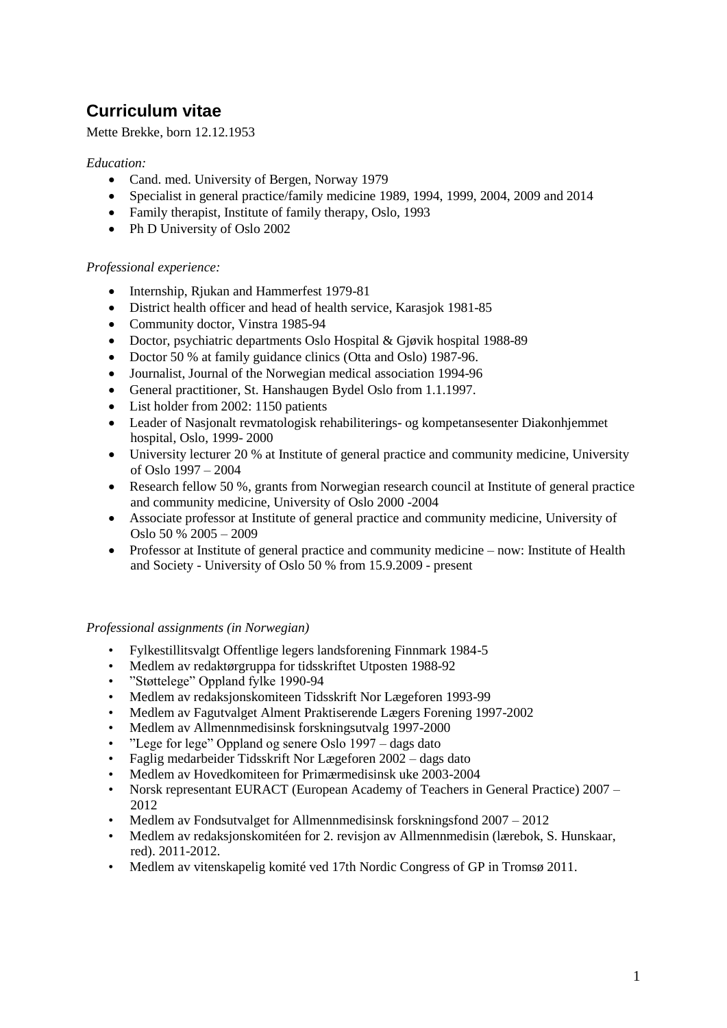# **Curriculum vitae**

Mette Brekke, born 12.12.1953

### *Education:*

- Cand. med. University of Bergen, Norway 1979
- Specialist in general practice/family medicine 1989, 1994, 1999, 2004, 2009 and 2014
- Family therapist, Institute of family therapy, Oslo, 1993
- Ph D University of Oslo 2002

## *Professional experience:*

- Internship, Rjukan and Hammerfest 1979-81
- District health officer and head of health service, Karasjok 1981-85
- Community doctor, Vinstra 1985-94
- Doctor, psychiatric departments Oslo Hospital & Gjøvik hospital 1988-89
- Doctor 50 % at family guidance clinics (Otta and Oslo) 1987-96.
- Journalist, Journal of the Norwegian medical association 1994-96
- General practitioner, St. Hanshaugen Bydel Oslo from 1.1.1997.
- List holder from 2002: 1150 patients
- Leader of Nasjonalt revmatologisk rehabiliterings- og kompetansesenter Diakonhjemmet hospital, Oslo, 1999- 2000
- University lecturer 20 % at Institute of general practice and community medicine, University of Oslo 1997 – 2004
- Research fellow 50 %, grants from Norwegian research council at Institute of general practice and community medicine, University of Oslo 2000 -2004
- Associate professor at Institute of general practice and community medicine, University of Oslo 50 % 2005 – 2009
- Professor at Institute of general practice and community medicine now: Institute of Health and Society - University of Oslo 50 % from 15.9.2009 - present

#### *Professional assignments (in Norwegian)*

- Fylkestillitsvalgt Offentlige legers landsforening Finnmark 1984-5
- Medlem av redaktørgruppa for tidsskriftet Utposten 1988-92
- "Støttelege" Oppland fylke 1990-94
- Medlem av redaksjonskomiteen Tidsskrift Nor Lægeforen 1993-99
- Medlem av Fagutvalget Alment Praktiserende Lægers Forening 1997-2002
- Medlem av Allmennmedisinsk forskningsutvalg 1997-2000
- "Lege for lege" Oppland og senere Oslo 1997 dags dato
- Faglig medarbeider Tidsskrift Nor Lægeforen 2002 dags dato
- Medlem av Hovedkomiteen for Primærmedisinsk uke 2003-2004
- Norsk representant EURACT (European Academy of Teachers in General Practice) 2007 2012
- Medlem av Fondsutvalget for Allmennmedisinsk forskningsfond 2007 2012
- Medlem av redaksjonskomitéen for 2. revisjon av Allmennmedisin (lærebok, S. Hunskaar, red). 2011-2012.
- Medlem av vitenskapelig komité ved 17th Nordic Congress of GP in Tromsø 2011.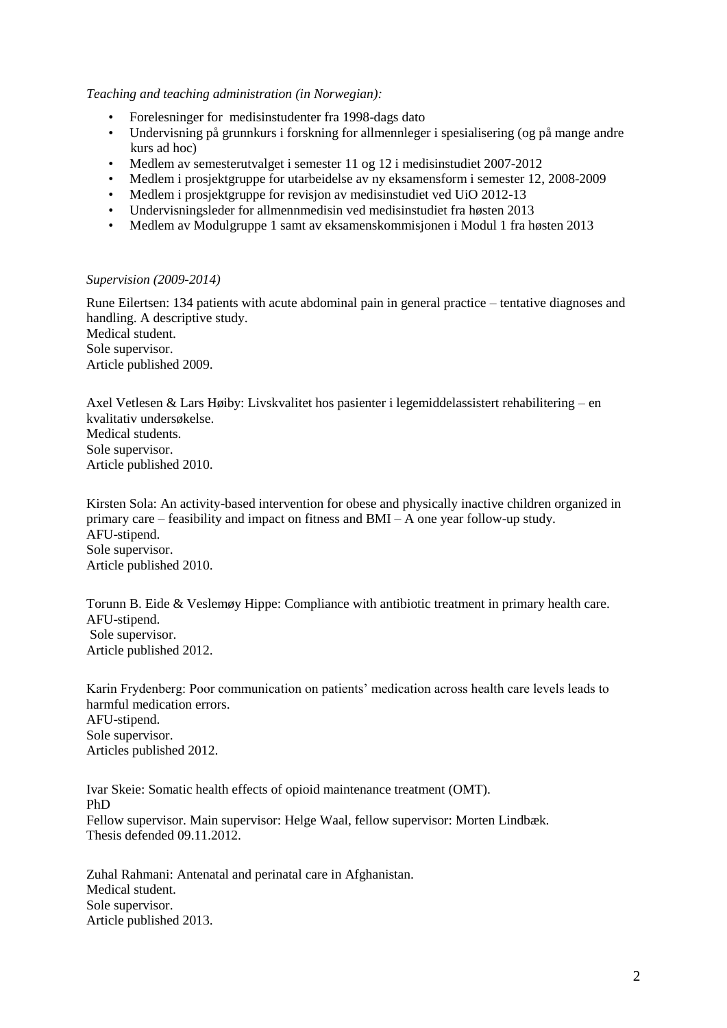*Teaching and teaching administration (in Norwegian):*

- Forelesninger for medisinstudenter fra 1998-dags dato
- Undervisning på grunnkurs i forskning for allmennleger i spesialisering (og på mange andre kurs ad hoc)
- Medlem av semesterutvalget i semester 11 og 12 i medisinstudiet 2007-2012
- Medlem i prosjektgruppe for utarbeidelse av ny eksamensform i semester 12, 2008-2009
- Medlem i prosjektgruppe for revisjon av medisinstudiet ved UiO 2012-13
- Undervisningsleder for allmennmedisin ved medisinstudiet fra høsten 2013
- Medlem av Modulgruppe 1 samt av eksamenskommisjonen i Modul 1 fra høsten 2013

#### *Supervision (2009-2014)*

Rune Eilertsen: 134 patients with acute abdominal pain in general practice – tentative diagnoses and handling. A descriptive study. Medical student. Sole supervisor. Article published 2009.

Axel Vetlesen & Lars Høiby: Livskvalitet hos pasienter i legemiddelassistert rehabilitering – en kvalitativ undersøkelse. Medical students. Sole supervisor. Article published 2010.

Kirsten Sola: An activity-based intervention for obese and physically inactive children organized in primary care – feasibility and impact on fitness and BMI – A one year follow-up study. AFU-stipend. Sole supervisor. Article published 2010.

Torunn B. Eide & Veslemøy Hippe: Compliance with antibiotic treatment in primary health care. AFU-stipend. Sole supervisor. Article published 2012.

Karin Frydenberg: Poor communication on patients' medication across health care levels leads to harmful medication errors. AFU-stipend. Sole supervisor. Articles published 2012.

Ivar Skeie: Somatic health effects of opioid maintenance treatment (OMT). PhD Fellow supervisor. Main supervisor: Helge Waal, fellow supervisor: Morten Lindbæk. Thesis defended 09.11.2012.

Zuhal Rahmani: Antenatal and perinatal care in Afghanistan. Medical student. Sole supervisor. Article published 2013.